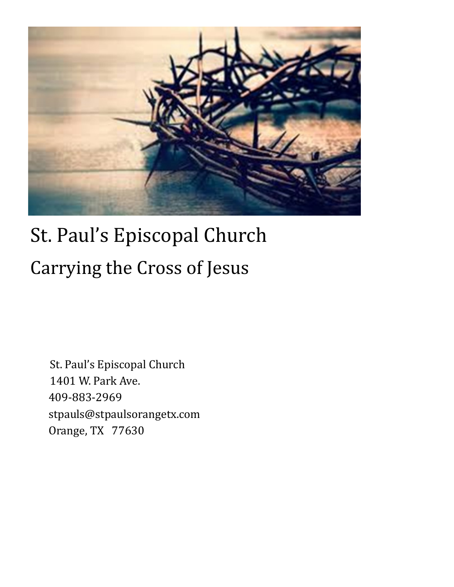

## St. Paul's Episcopal Church Carrying the Cross of Jesus

 St. Paul's Episcopal Church 1401 W. Park Ave. 409-883-2969 stpauls@stpaulsorangetx.com Orange, TX 77630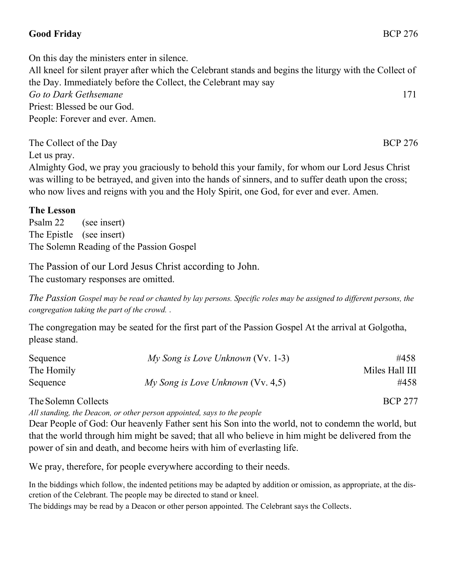### **Good Friday** BCP 276

On this day the ministers enter in silence. All kneel for silent prayer after which the Celebrant stands and begins the liturgy with the Collect of the Day. Immediately before the Collect, the Celebrant may say *Go to Dark Gethsemane* 171 Priest: Blessed be our God. People: Forever and ever. Amen.

The Collect of the Day BCP 276 Let us pray. Almighty God, we pray you graciously to behold this your family, for whom our Lord Jesus Christ

was willing to be betrayed, and given into the hands of sinners, and to suffer death upon the cross; who now lives and reigns with you and the Holy Spirit, one God, for ever and ever. Amen.

### **The Lesson**

Psalm 22 (see insert) The Epistle (see insert) The Solemn Reading of the Passion Gospel

The Passion of our Lord Jesus Christ according to John. The customary responses are omitted.

*The Passion Gospel may be read or chanted by lay persons. Specific roles may be assigned to different persons, the congregation taking the part of the crowd.* .

The congregation may be seated for the first part of the Passion Gospel At the arrival at Golgotha, please stand.

| Sequence   | <i>My Song is Love Unknown</i> (Vv. 1-3) | #458           |
|------------|------------------------------------------|----------------|
| The Homily |                                          | Miles Hall III |
| Sequence   | $My$ Song is Love Unknown (Vv. 4,5)      | #458           |

The Solemn Collects **BCP 277** 

*All standing, the Deacon, or other person appointed, says to the people* 

Dear People of God: Our heavenly Father sent his Son into the world, not to condemn the world, but that the world through him might be saved; that all who believe in him might be delivered from the power of sin and death, and become heirs with him of everlasting life.

We pray, therefore, for people everywhere according to their needs.

In the biddings which follow, the indented petitions may be adapted by addition or omission, as appropriate, at the discretion of the Celebrant. The people may be directed to stand or kneel.

The biddings may be read by a Deacon or other person appointed. The Celebrant says the Collects.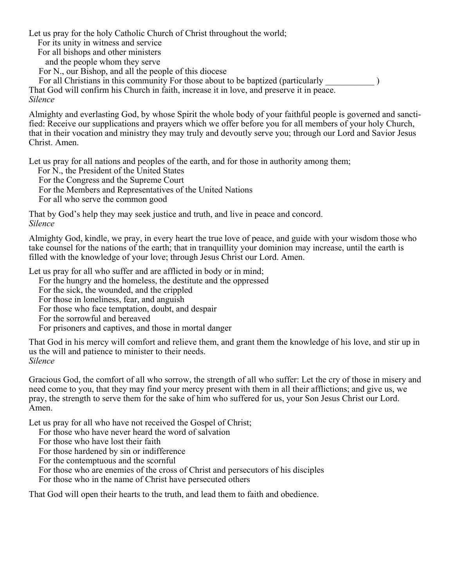Let us pray for the holy Catholic Church of Christ throughout the world;

For its unity in witness and service

For all bishops and other ministers

and the people whom they serve

For N., our Bishop, and all the people of this diocese

For all Christians in this community For those about to be baptized (particularly  $\qquad \qquad$  ) That God will confirm his Church in faith, increase it in love, and preserve it in peace.

*Silence* 

Almighty and everlasting God, by whose Spirit the whole body of your faithful people is governed and sanctified: Receive our supplications and prayers which we offer before you for all members of your holy Church, that in their vocation and ministry they may truly and devoutly serve you; through our Lord and Savior Jesus Christ. Amen.

Let us pray for all nations and peoples of the earth, and for those in authority among them;

For N., the President of the United States

For the Congress and the Supreme Court

For the Members and Representatives of the United Nations

For all who serve the common good

That by God's help they may seek justice and truth, and live in peace and concord. *Silence* 

Almighty God, kindle, we pray, in every heart the true love of peace, and guide with your wisdom those who take counsel for the nations of the earth; that in tranquillity your dominion may increase, until the earth is filled with the knowledge of your love; through Jesus Christ our Lord. Amen.

Let us pray for all who suffer and are afflicted in body or in mind;

For the hungry and the homeless, the destitute and the oppressed

For the sick, the wounded, and the crippled

For those in loneliness, fear, and anguish

For those who face temptation, doubt, and despair

For the sorrowful and bereaved

For prisoners and captives, and those in mortal danger

That God in his mercy will comfort and relieve them, and grant them the knowledge of his love, and stir up in us the will and patience to minister to their needs. *Silence* 

Gracious God, the comfort of all who sorrow, the strength of all who suffer: Let the cry of those in misery and need come to you, that they may find your mercy present with them in all their afflictions; and give us, we pray, the strength to serve them for the sake of him who suffered for us, your Son Jesus Christ our Lord. Amen.

Let us pray for all who have not received the Gospel of Christ;

For those who have never heard the word of salvation

For those who have lost their faith

For those hardened by sin or indifference

For the contemptuous and the scornful

For those who are enemies of the cross of Christ and persecutors of his disciples

For those who in the name of Christ have persecuted others

That God will open their hearts to the truth, and lead them to faith and obedience.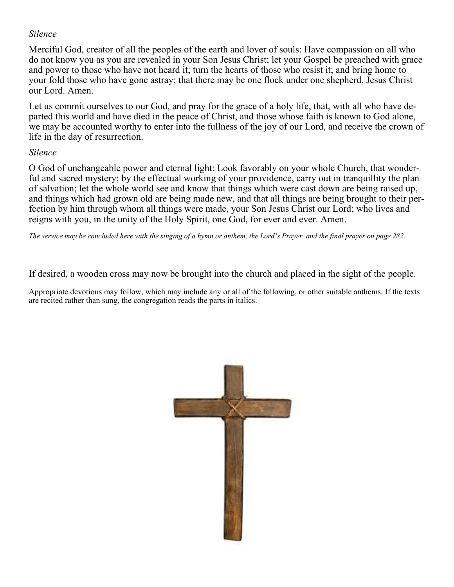#### *Silence*

Merciful God, creator of all the peoples of the earth and lover of souls: Have compassion on all who do not know you as you are revealed in your Son Jesus Christ; let your Gospel be preached with grace and power to those who have not heard it; turn the hearts of those who resist it; and bring home to your fold those who have gone astray; that there may be one flock under one shepherd, Jesus Christ our Lord. Amen.

Let us commit ourselves to our God, and pray for the grace of a holy life, that, with all who have departed this world and have died in the peace of Christ, and those whose faith is known to God alone, we may be accounted worthy to enter into the fullness of the joy of our Lord, and receive the crown of life in the day of resurrection.

#### *Silence*

O God of unchangeable power and eternal light: Look favorably on your whole Church, that wonderful and sacred mystery; by the effectual working of your providence, carry out in tranquillity the plan of salvation; let the whole world see and know that things which were cast down are being raised up, and things which had grown old are being made new, and that all things are being brought to their perfection by him through whom all things were made, your Son Jesus Christ our Lord; who lives and reigns with you, in the unity of the Holy Spirit, one God, for ever and ever. Amen.

*The service may be concluded here with the singing of a hymn or anthem, the Lord's Prayer, and the final prayer on page 282.* 

If desired, a wooden cross may now be brought into the church and placed in the sight of the people.

Appropriate devotions may follow, which may include any or all of the following, or other suitable anthems. If the texts are recited rather than sung, the congregation reads the parts in italics.

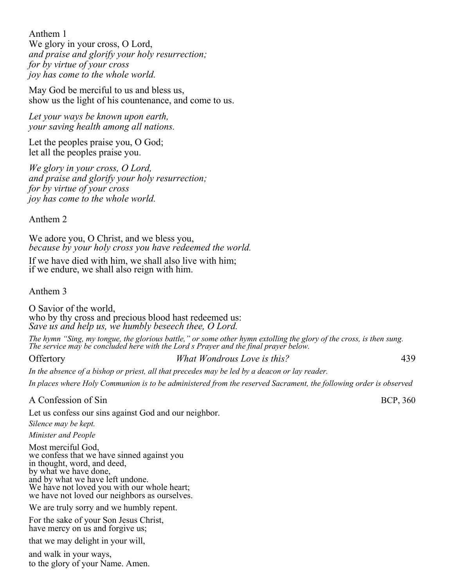Anthem 1 We glory in your cross, O Lord, *and praise and glorify your holy resurrection; for by virtue of your cross joy has come to the whole world.* 

May God be merciful to us and bless us, show us the light of his countenance, and come to us.

*Let your ways be known upon earth, your saving health among all nations.* 

Let the peoples praise you, O God; let all the peoples praise you.

*We glory in your cross, O Lord, and praise and glorify your holy resurrection; for by virtue of your cross joy has come to the whole world.* 

Anthem 2

We adore you, O Christ, and we bless you, *because by your holy cross you have redeemed the world.* 

If we have died with him, we shall also live with him; if we endure, we shall also reign with him.

Anthem 3

O Savior of the world, who by thy cross and precious blood hast redeemed us: *Save us and help us, we humbly beseech thee, O Lord.* 

*The hymn "Sing, my tongue, the glorious battle," or some other hymn extolling the glory of the cross, is then sung. The service may be concluded here with the Lord s Prayer and the final prayer below.* 

Offertory *What Wondrous Love is this?* 439

*In the absence of a bishop or priest, all that precedes may be led by a deacon or lay reader.* 

In places where Holy Communion is to be administered from the reserved Sacrament, the following order is observed

A Confession of Sin BCP, 360

Let us confess our sins against God and our neighbor.

*Silence may be kept.* 

*Minister and People* 

Most merciful God, we confess that we have sinned against you in thought, word, and deed, by what we have done, and by what we have left undone. We have not loved you with our whole heart; we have not loved our neighbors as ourselves.

We are truly sorry and we humbly repent.

For the sake of your Son Jesus Christ, have mercy on us and forgive us;

that we may delight in your will,

and walk in your ways, to the glory of your Name. Amen.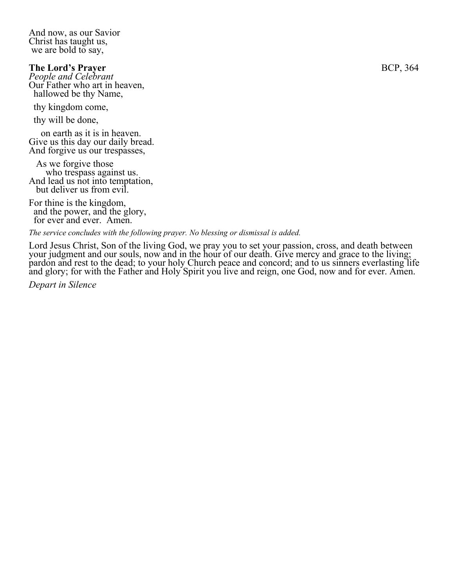And now, as our Savior Christ has taught us, we are bold to say,

#### **The Lord's Prayer** BCP, 364

*People and Celebrant*  Our Father who art in heaven, hallowed be thy Name,

thy kingdom come,

thy will be done,

 on earth as it is in heaven. Give us this day our daily bread. And forgive us our trespasses,

 As we forgive those who trespass against us. And lead us not into temptation, but deliver us from evil.

For thine is the kingdom, and the power, and the glory, for ever and ever. Amen.

*The service concludes with the following prayer. No blessing or dismissal is added.* 

Lord Jesus Christ, Son of the living God, we pray you to set your passion, cross, and death between your judgment and our souls, now and in the hour of our death. Give mercy and grace to the living; pardon and rest to the dead; to your holy Church peace and concord; and to us sinners everlasting life and glory; for with the Father and Holy Spirit you live and reign, one God, now and for ever. Amen.

*Depart in Silence*